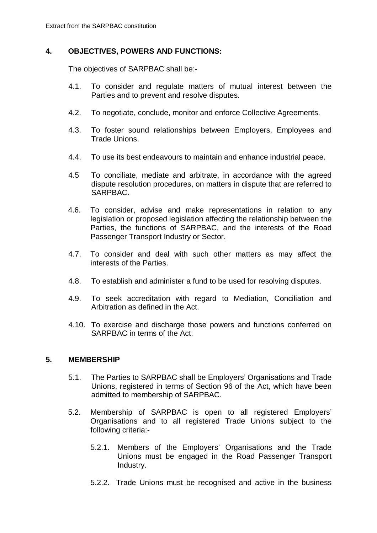### **4. OBJECTIVES, POWERS AND FUNCTIONS:**

The objectives of SARPBAC shall be:-

- 4.1. To consider and regulate matters of mutual interest between the Parties and to prevent and resolve disputes.
- 4.2. To negotiate, conclude, monitor and enforce Collective Agreements.
- 4.3. To foster sound relationships between Employers, Employees and Trade Unions.
- 4.4. To use its best endeavours to maintain and enhance industrial peace.
- 4.5 To conciliate, mediate and arbitrate, in accordance with the agreed dispute resolution procedures, on matters in dispute that are referred to SARPBAC.
- 4.6. To consider, advise and make representations in relation to any legislation or proposed legislation affecting the relationship between the Parties, the functions of SARPBAC, and the interests of the Road Passenger Transport Industry or Sector.
- 4.7. To consider and deal with such other matters as may affect the interests of the Parties.
- 4.8. To establish and administer a fund to be used for resolving disputes.
- 4.9. To seek accreditation with regard to Mediation, Conciliation and Arbitration as defined in the Act.
- 4.10. To exercise and discharge those powers and functions conferred on SARPBAC in terms of the Act.

#### **5. MEMBERSHIP**

- 5.1. The Parties to SARPBAC shall be Employers' Organisations and Trade Unions, registered in terms of Section 96 of the Act, which have been admitted to membership of SARPBAC.
- 5.2. Membership of SARPBAC is open to all registered Employers' Organisations and to all registered Trade Unions subject to the following criteria:-
	- 5.2.1. Members of the Employers' Organisations and the Trade Unions must be engaged in the Road Passenger Transport Industry.
	- 5.2.2. Trade Unions must be recognised and active in the business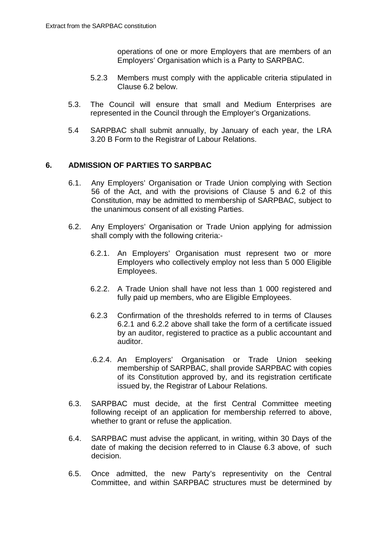operations of one or more Employers that are members of an Employers' Organisation which is a Party to SARPBAC.

- 5.2.3 Members must comply with the applicable criteria stipulated in Clause 6.2 below.
- 5.3. The Council will ensure that small and Medium Enterprises are represented in the Council through the Employer's Organizations.
- 5.4 SARPBAC shall submit annually, by January of each year, the LRA 3.20 B Form to the Registrar of Labour Relations.

## **6. ADMISSION OF PARTIES TO SARPBAC**

- 6.1. Any Employers' Organisation or Trade Union complying with Section 56 of the Act, and with the provisions of Clause 5 and 6.2 of this Constitution, may be admitted to membership of SARPBAC, subject to the unanimous consent of all existing Parties.
- 6.2. Any Employers' Organisation or Trade Union applying for admission shall comply with the following criteria:-
	- 6.2.1. An Employers' Organisation must represent two or more Employers who collectively employ not less than 5 000 Eligible Employees.
	- 6.2.2. A Trade Union shall have not less than 1 000 registered and fully paid up members, who are Eligible Employees.
	- 6.2.3 Confirmation of the thresholds referred to in terms of Clauses 6.2.1 and 6.2.2 above shall take the form of a certificate issued by an auditor, registered to practice as a public accountant and auditor.
	- .6.2.4. An Employers' Organisation or Trade Union seeking membership of SARPBAC, shall provide SARPBAC with copies of its Constitution approved by, and its registration certificate issued by, the Registrar of Labour Relations.
- 6.3. SARPBAC must decide, at the first Central Committee meeting following receipt of an application for membership referred to above, whether to grant or refuse the application.
- 6.4. SARPBAC must advise the applicant, in writing, within 30 Days of the date of making the decision referred to in Clause 6.3 above, of such decision.
- 6.5. Once admitted, the new Party's representivity on the Central Committee, and within SARPBAC structures must be determined by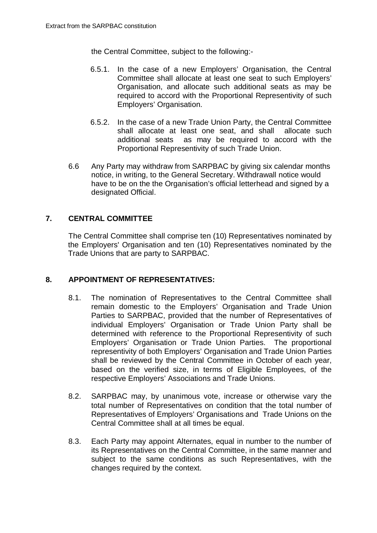the Central Committee, subject to the following:-

- 6.5.1. In the case of a new Employers' Organisation, the Central Committee shall allocate at least one seat to such Employers' Organisation, and allocate such additional seats as may be required to accord with the Proportional Representivity of such Employers' Organisation.
- 6.5.2. In the case of a new Trade Union Party, the Central Committee shall allocate at least one seat, and shall allocate such additional seats as may be required to accord with the Proportional Representivity of such Trade Union.
- 6.6 Any Party may withdraw from SARPBAC by giving six calendar months notice, in writing, to the General Secretary. Withdrawall notice would have to be on the the Organisation's official letterhead and signed by a designated Official.

# **7. CENTRAL COMMITTEE**

The Central Committee shall comprise ten (10) Representatives nominated by the Employers' Organisation and ten (10) Representatives nominated by the Trade Unions that are party to SARPBAC.

# **8. APPOINTMENT OF REPRESENTATIVES:**

- 8.1. The nomination of Representatives to the Central Committee shall remain domestic to the Employers' Organisation and Trade Union Parties to SARPBAC, provided that the number of Representatives of individual Employers' Organisation or Trade Union Party shall be determined with reference to the Proportional Representivity of such Employers' Organisation or Trade Union Parties. The proportional representivity of both Employers' Organisation and Trade Union Parties shall be reviewed by the Central Committee in October of each year, based on the verified size, in terms of Eligible Employees, of the respective Employers' Associations and Trade Unions.
- 8.2. SARPBAC may, by unanimous vote, increase or otherwise vary the total number of Representatives on condition that the total number of Representatives of Employers' Organisations and Trade Unions on the Central Committee shall at all times be equal.
- 8.3. Each Party may appoint Alternates, equal in number to the number of its Representatives on the Central Committee, in the same manner and subject to the same conditions as such Representatives, with the changes required by the context.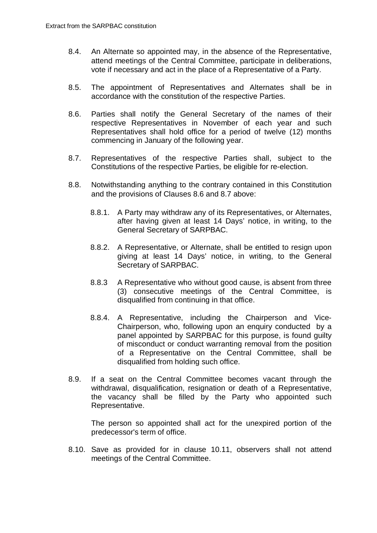- 8.4. An Alternate so appointed may, in the absence of the Representative, attend meetings of the Central Committee, participate in deliberations, vote if necessary and act in the place of a Representative of a Party.
- 8.5. The appointment of Representatives and Alternates shall be in accordance with the constitution of the respective Parties.
- 8.6. Parties shall notify the General Secretary of the names of their respective Representatives in November of each year and such Representatives shall hold office for a period of twelve (12) months commencing in January of the following year.
- 8.7. Representatives of the respective Parties shall, subject to the Constitutions of the respective Parties, be eligible for re-election.
- 8.8. Notwithstanding anything to the contrary contained in this Constitution and the provisions of Clauses 8.6 and 8.7 above:
	- 8.8.1. A Party may withdraw any of its Representatives, or Alternates, after having given at least 14 Days' notice, in writing, to the General Secretary of SARPBAC.
	- 8.8.2. A Representative, or Alternate, shall be entitled to resign upon giving at least 14 Days' notice, in writing, to the General Secretary of SARPBAC.
	- 8.8.3 A Representative who without good cause, is absent from three (3) consecutive meetings of the Central Committee, is disqualified from continuing in that office.
	- 8.8.4. A Representative, including the Chairperson and Vice-Chairperson, who, following upon an enquiry conducted by a panel appointed by SARPBAC for this purpose, is found guilty of misconduct or conduct warranting removal from the position of a Representative on the Central Committee, shall be disqualified from holding such office.
- 8.9. If a seat on the Central Committee becomes vacant through the withdrawal, disqualification, resignation or death of a Representative, the vacancy shall be filled by the Party who appointed such Representative.

The person so appointed shall act for the unexpired portion of the predecessor's term of office.

8.10. Save as provided for in clause 10.11, observers shall not attend meetings of the Central Committee.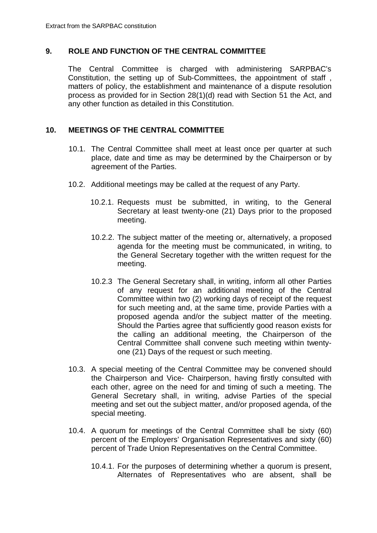### **9. ROLE AND FUNCTION OF THE CENTRAL COMMITTEE**

The Central Committee is charged with administering SARPBAC's Constitution, the setting up of Sub-Committees, the appointment of staff , matters of policy, the establishment and maintenance of a dispute resolution process as provided for in Section 28(1)(d) read with Section 51 the Act, and any other function as detailed in this Constitution.

### **10. MEETINGS OF THE CENTRAL COMMITTEE**

- 10.1. The Central Committee shall meet at least once per quarter at such place, date and time as may be determined by the Chairperson or by agreement of the Parties.
- 10.2. Additional meetings may be called at the request of any Party.
	- 10.2.1. Requests must be submitted, in writing, to the General Secretary at least twenty-one (21) Days prior to the proposed meeting.
	- 10.2.2. The subject matter of the meeting or, alternatively, a proposed agenda for the meeting must be communicated, in writing, to the General Secretary together with the written request for the meeting.
	- 10.2.3 The General Secretary shall, in writing, inform all other Parties of any request for an additional meeting of the Central Committee within two (2) working days of receipt of the request for such meeting and, at the same time, provide Parties with a proposed agenda and/or the subject matter of the meeting. Should the Parties agree that sufficiently good reason exists for the calling an additional meeting, the Chairperson of the Central Committee shall convene such meeting within twentyone (21) Days of the request or such meeting.
- 10.3. A special meeting of the Central Committee may be convened should the Chairperson and Vice- Chairperson, having firstly consulted with each other, agree on the need for and timing of such a meeting. The General Secretary shall, in writing, advise Parties of the special meeting and set out the subject matter, and/or proposed agenda, of the special meeting.
- 10.4. A quorum for meetings of the Central Committee shall be sixty (60) percent of the Employers' Organisation Representatives and sixty (60) percent of Trade Union Representatives on the Central Committee.
	- 10.4.1. For the purposes of determining whether a quorum is present, Alternates of Representatives who are absent, shall be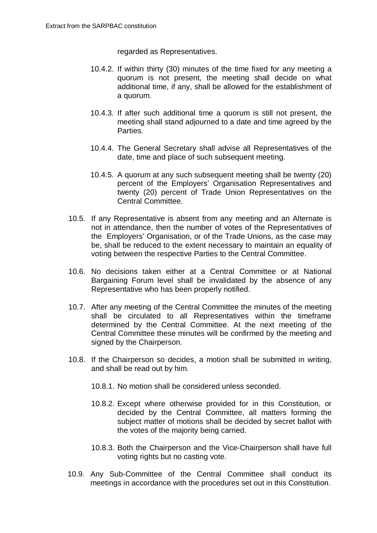regarded as Representatives.

- 10.4.2. If within thirty (30) minutes of the time fixed for any meeting a quorum is not present, the meeting shall decide on what additional time, if any, shall be allowed for the establishment of a quorum.
- 10.4.3. If after such additional time a quorum is still not present, the meeting shall stand adjourned to a date and time agreed by the Parties.
- 10.4.4. The General Secretary shall advise all Representatives of the date, time and place of such subsequent meeting.
- 10.4.5. A quorum at any such subsequent meeting shall be twenty (20) percent of the Employers' Organisation Representatives and twenty (20) percent of Trade Union Representatives on the Central Committee.
- 10.5. If any Representative is absent from any meeting and an Alternate is not in attendance, then the number of votes of the Representatives of the Employers' Organisation, or of the Trade Unions, as the case may be, shall be reduced to the extent necessary to maintain an equality of voting between the respective Parties to the Central Committee.
- 10.6. No decisions taken either at a Central Committee or at National Bargaining Forum level shall be invalidated by the absence of any Representative who has been properly notified.
- 10.7. After any meeting of the Central Committee the minutes of the meeting shall be circulated to all Representatives within the timeframe determined by the Central Committee. At the next meeting of the Central Committee these minutes will be confirmed by the meeting and signed by the Chairperson.
- 10.8. If the Chairperson so decides, a motion shall be submitted in writing, and shall be read out by him.
	- 10.8.1. No motion shall be considered unless seconded.
	- 10.8.2. Except where otherwise provided for in this Constitution, or decided by the Central Committee, all matters forming the subject matter of motions shall be decided by secret ballot with the votes of the majority being carried.
	- 10.8.3. Both the Chairperson and the Vice-Chairperson shall have full voting rights but no casting vote.
- 10.9. Any Sub-Committee of the Central Committee shall conduct its meetings in accordance with the procedures set out in this Constitution.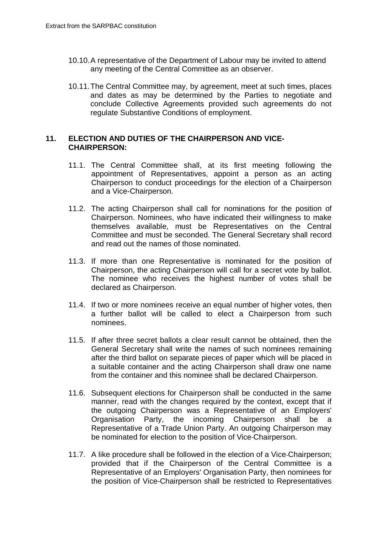- 10.10.A representative of the Department of Labour may be invited to attend any meeting of the Central Committee as an observer.
- 10.11.The Central Committee may, by agreement, meet at such times, places and dates as may be determined by the Parties to negotiate and conclude Collective Agreements provided such agreements do not regulate Substantive Conditions of employment.

#### **11. ELECTION AND DUTIES OF THE CHAIRPERSON AND VICE-CHAIRPERSON:**

- 11.1. The Central Committee shall, at its first meeting following the appointment of Representatives, appoint a person as an acting Chairperson to conduct proceedings for the election of a Chairperson and a Vice-Chairperson.
- 11.2. The acting Chairperson shall call for nominations for the position of Chairperson. Nominees, who have indicated their willingness to make themselves available, must be Representatives on the Central Committee and must be seconded. The General Secretary shall record and read out the names of those nominated.
- 11.3. If more than one Representative is nominated for the position of Chairperson, the acting Chairperson will call for a secret vote by ballot. The nominee who receives the highest number of votes shall be declared as Chairperson.
- 11.4. If two or more nominees receive an equal number of higher votes, then a further ballot will be called to elect a Chairperson from such nominees.
- 11.5. If after three secret ballots a clear result cannot be obtained, then the General Secretary shall write the names of such nominees remaining after the third ballot on separate pieces of paper which will be placed in a suitable container and the acting Chairperson shall draw one name from the container and this nominee shall be declared Chairperson.
- 11.6. Subsequent elections for Chairperson shall be conducted in the same manner, read with the changes required by the context, except that if the outgoing Chairperson was a Representative of an Employers' Organisation Party, the incoming Chairperson shall be a Representative of a Trade Union Party. An outgoing Chairperson may be nominated for election to the position of Vice Chairperson.
- 11.7. A like procedure shall be followed in the election of a Vice Chairperson; provided that if the Chairperson of the Central Committee is a Representative of an Employers' Organisation Party, then nominees for the position of Vice-Chairperson shall be restricted to Representatives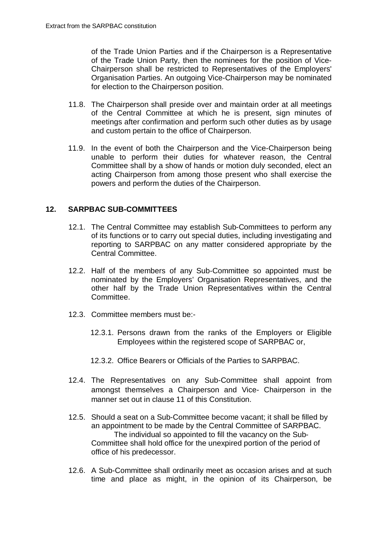of the Trade Union Parties and if the Chairperson is a Representative of the Trade Union Party, then the nominees for the position of Vice-Chairperson shall be restricted to Representatives of the Employers' Organisation Parties. An outgoing Vice-Chairperson may be nominated for election to the Chairperson position.

- 11.8. The Chairperson shall preside over and maintain order at all meetings of the Central Committee at which he is present, sign minutes of meetings after confirmation and perform such other duties as by usage and custom pertain to the office of Chairperson.
- 11.9. In the event of both the Chairperson and the Vice-Chairperson being unable to perform their duties for whatever reason, the Central Committee shall by a show of hands or motion duly seconded, elect an acting Chairperson from among those present who shall exercise the powers and perform the duties of the Chairperson.

## **12. SARPBAC SUB-COMMITTEES**

- 12.1. The Central Committee may establish Sub-Committees to perform any of its functions or to carry out special duties, including investigating and reporting to SARPBAC on any matter considered appropriate by the Central Committee.
- 12.2. Half of the members of any Sub-Committee so appointed must be nominated by the Employers' Organisation Representatives, and the other half by the Trade Union Representatives within the Central **Committee.**
- 12.3. Committee members must be:-
	- 12.3.1. Persons drawn from the ranks of the Employers or Eligible Employees within the registered scope of SARPBAC or,
	- 12.3.2. Office Bearers or Officials of the Parties to SARPBAC.
- 12.4. The Representatives on any Sub-Committee shall appoint from amongst themselves a Chairperson and Vice- Chairperson in the manner set out in clause 11 of this Constitution.
- 12.5. Should a seat on a Sub-Committee become vacant; it shall be filled by an appointment to be made by the Central Committee of SARPBAC. The individual so appointed to fill the vacancy on the Sub-Committee shall hold office for the unexpired portion of the period of office of his predecessor.
- 12.6. A Sub-Committee shall ordinarily meet as occasion arises and at such time and place as might, in the opinion of its Chairperson, be